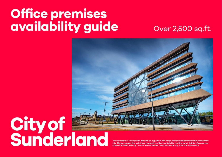## Office premises availability guide

## Over 2,500 sq.ft.



## **Cityof**<br>Sunderland

This summary is intended to act only as a guide to the range of industrial premises that exist in the city. Please contact the individual agents to confirm availability and the exact details of properties quoted. Sunderland City Council will not be held responsible for any errors or ommissions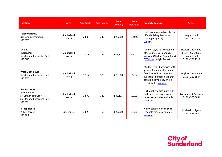| <b>Location</b>                                                                                                | Area                | Size (sq.ft.) | Size (sq.m.) | Rent<br>(annual) | <b>Rent</b><br>(per sq.ft.) | <b>Property Features</b>                                                                                                                                                             | <b>Agents</b>                                                                      |
|----------------------------------------------------------------------------------------------------------------|---------------------|---------------|--------------|------------------|-----------------------------|--------------------------------------------------------------------------------------------------------------------------------------------------------------------------------------|------------------------------------------------------------------------------------|
| <b>Teleport House</b><br>Doxford International<br>SR3 3XD                                                      | Sunderland<br>South | 2,600         | 242          | £26,000          | £10.00                      | Suite in a modern two-storey<br>office building. Dedicated<br>parking (6 spaces).<br>Website                                                                                         | Knight Frank<br>0191 - 221 2211                                                    |
| Unit 2C<br><b>Hylton Park</b><br><b>Sunderland Enterprise Park</b><br>SR5 3HD                                  | Sunderland<br>North | 2,813         | 261          | £25,317          | £9.00                       | Pavilion-style self-contained<br>office suites. Car parking.<br><b>Website</b> (Naylors Gavin Black)<br>/ Website (Knight Frank)                                                     | <b>Naylors Gavin Black</b><br>0191 - 232 7030 /<br>Knight Frank<br>0191 - 221 2211 |
| <b>West Quay Court</b><br>Sunderland Enterprise Park<br>SR5 2TE                                                | Sunderland<br>North | 3.317         | 308          | £25.000          | £7.54                       | Modern hybrid premises with<br>ground floor warehouse and<br>first floor offices. Units 2-6<br>available (includes pairs that<br>could be combined, giving<br>6,634 sq.ft.). Website | Naylors Gavin Black<br>0191 - 211 1564                                             |
| <b>Avalon House</b><br>(ground floor)<br>St. Catherine's Court<br><b>Sunderland Enterprise Park</b><br>SR5 3XJ | Sunderland<br>North | 3,575         | 332          | £32,175          | £9.00                       | High quality office suite with<br>dedicated parking spaces.<br>Incentives may be available.<br>Website                                                                               | Lofthouse & Partners<br>0191 - 565 8844                                            |
| <b>Biscop House</b><br><b>Villiers Street</b><br><b>SR1 1ER</b>                                                | City Centre         | 3,820         | 33           | £27,500          | £7.20                       | New open plan office suite.<br>Freehold may be available.<br>Website                                                                                                                 | Michael Hodgson<br>0191 - 565 7000                                                 |

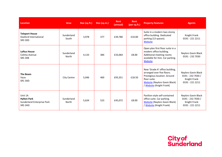| <b>Location</b>                                                               | Area                | Size (sq.ft.) | Size (sq.m.) | Rent<br>(annual) | <b>Rent</b><br>(per sq.ft.) | <b>Property Features</b>                                                                                                                                                         | <b>Agents</b>                                                                      |
|-------------------------------------------------------------------------------|---------------------|---------------|--------------|------------------|-----------------------------|----------------------------------------------------------------------------------------------------------------------------------------------------------------------------------|------------------------------------------------------------------------------------|
| <b>Teleport House</b><br>Doxford International<br>SR3 3XD                     | Sunderland<br>South | 3,978         | 377          | £39,780          | £10.00                      | Suite in a modern two-storey<br>office building. Dedicated<br>parking (13 spaces).<br>Website                                                                                    | Knight Frank<br>0191 - 221 2211                                                    |
| <b>Loftus House</b><br>Colima Avenue<br>SR5 3XB                               | Sunderland<br>North | 4,133         | 384          | £33,064          | £8.00                       | Open plan first floor suite in a<br>modern office building.<br>Additional meeting rooms<br>available for hire. Car parking.<br>Website                                           | Naylors Gavin Black<br>0191 - 232 7030                                             |
| The Beam<br>Vaux<br>SR13AD                                                    | City Centre         | 5,046         | 469          | £93,351          | £18.50                      | New 'Grade A' office building,<br>arranged over five floors.<br>Prestigious location. Ground<br>floor suite.<br><b>Website (Naylors Gavin Black)</b><br>/ Website (Knight Frank) | <b>Naylors Gavin Black</b><br>0191 - 232 7030 /<br>Knight Frank<br>0191 - 221 2211 |
| Unit 1A<br><b>Hylton Park</b><br><b>Sunderland Enterprise Park</b><br>SR5 3HD | Sunderland<br>North | 5,634         | 523          | £45,072          | £8.00                       | Pavilion-style self-contained<br>office suite. Car parking.<br><b>Website</b> (Naylors Gavin Black)<br>/ Website (Knight Frank)                                                  | Naylors Gavin Black<br>0191 - 232 7030 /<br>Knight Frank<br>0191 - 221 2211        |

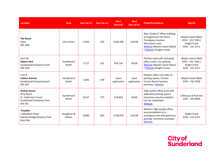| <b>Location</b>                                                                                               | <b>Area</b>          | Size (sq.ft.) | Size (sq.m.) | Rent<br>(annual)    | <b>Rent</b><br>(per sq.ft.) | <b>Property Features</b>                                                                                                                                                      | <b>Agents</b>                                                                      |
|---------------------------------------------------------------------------------------------------------------|----------------------|---------------|--------------|---------------------|-----------------------------|-------------------------------------------------------------------------------------------------------------------------------------------------------------------------------|------------------------------------------------------------------------------------|
| <b>The Beam</b><br>Vaux<br>SR13AD                                                                             | City Centre          | 5,643         | 524          | £104,396            | £18.50                      | New 'Grade A' office building,<br>arranged over five floors.<br>Prestigious location.<br>Mezzanine suite.<br><b>Website (Naylors Gavin Black)</b><br>/ Website (Knight Frank) | Naylors Gavin Black<br>0191 - 232 7030 /<br>Knight Frank<br>0191 - 221 2211        |
| Unit 2A<br><b>Hylton Park</b><br>Sunderland Enterprise Park<br>SR5 3HD                                        | Sunderland<br>North  | 5,717         | 531          | £45,736             | £8.00                       | Pavilion-style self-contained<br>office suites. Car parking.<br><b>Website (Naylors Gavin Black)</b><br>/ Website (Knight Frank)                                              | <b>Naylors Gavin Black</b><br>0191 - 232 7030 /<br>Knight Frank<br>0191 - 221 2211 |
| Unit B<br><b>Colima Avenue</b><br>Sunderland Enterprise park<br>SR5 3XE                                       | Sunderland<br>North  | 5,801         | 539          | Upon<br>application | Upon<br>application         | Modern office unit with 13<br>parking spaces. Former<br><b>Carrier Rental Systems</b><br>premises. Website                                                                    | Naylors Gavin Black<br>0191 - 232 7030                                             |
| <b>Avalon House</b><br>(first floor)<br>St. Catherine's Court<br><b>Sunderland Enterprise Park</b><br>SR5 3XJ | Sunderland<br>North  | 8,317         | 773          | £74,853             | £9.00                       | High quality office suite with<br>dedicated parking spaces.<br>Incentives may be available.<br>Can be subdivided.<br>Website                                                  | Lofthouse & Partners<br>0191 - 565 8844                                            |
| 'Franklin'<br>2 Mandarin Road<br>Rainton Bridge Business Park<br>DH4 5RA                                      | Houghton &<br>Hetton | 8,860         | 823          | £128,470            | £14.50                      | Modern, high quality office<br>accommodation on a<br>prestigious site with generous<br>parking. Incentives available.<br>Website                                              | Knight Frank<br>0191 - 221 2211                                                    |

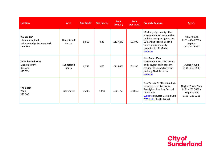| <b>Location</b>                                                           | Area                 | Size (sq.ft.) | Size (sq.m.) | <b>Rent</b><br>(annual) | <b>Rent</b><br>(per sq.ft.) | <b>Property Features</b>                                                                                                                                                                     | <b>Agents</b>                                                               |
|---------------------------------------------------------------------------|----------------------|---------------|--------------|-------------------------|-----------------------------|----------------------------------------------------------------------------------------------------------------------------------------------------------------------------------------------|-----------------------------------------------------------------------------|
| 'Alexander'<br>1 Mandarin Road<br>Rainton Bridge Business Park<br>DH4 5RA | Houghton &<br>Hetton | 9,019         | 838          | £117,247                | £13.00                      | Modern, high quality office<br>accommodation in a multi-let<br>building on a prestigious site.<br>52 parking spaces. Second<br>floor suite (previously<br>occupied by JPI Media).<br>Website | Ashley Smith<br>0191 - 384 2733 /<br>Rapleys<br>0370 777 6292               |
| 7 Camberwell Way<br>Moorside Park<br>Doxford<br>SR3 3XN                   | Sunderland<br>South  | 9,253         | 860          | £115,663                | £12.50                      | First floor office<br>accommodation. 24/7 access<br>and security. High capacity,<br>resilient IT connectivity. Car<br>parking. Flexible terms.<br>Website                                    | Avison Young<br>0191 - 269 0508                                             |
| The Beam<br>Vaux<br>SR13AD                                                | City Centre          | 10,881        | 1,011        | £201,299                | £18.50                      | New 'Grade A' office building,<br>arranged over five floors.<br>Prestigious location. Second<br>floor suite.<br><b>Website</b> (Naylors Gavin Black)<br>/ Website (Knight Frank)             | Naylors Gavin Black<br>0191 - 232 7030 /<br>Knight Frank<br>0191 - 221 2211 |

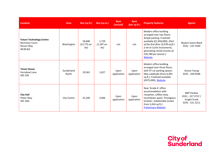| <b>Location</b>                                                                           | <b>Area</b>         | Size (sq.ft.)                 | Size (sq.m.)                  | Rent<br>(annual)    | Rent<br>(per sq.ft.) | <b>Property Features</b>                                                                                                                                                                                                                               | <b>Agents</b>                                                              |
|-------------------------------------------------------------------------------------------|---------------------|-------------------------------|-------------------------------|---------------------|----------------------|--------------------------------------------------------------------------------------------------------------------------------------------------------------------------------------------------------------------------------------------------------|----------------------------------------------------------------------------|
| <b>Future Technology Centre</b><br><b>Barmston Court</b><br>Nissan Way<br><b>NE38 8LE</b> | Washington          | 18,608<br>(12,773 un-<br>let) | 1,729<br>$(1,187$ un-<br>let) | n/a                 | n/a                  | Modern office building<br>arranged over two floors.<br>Ample parking. Freehold<br>available (£1,950,000). (Part<br>of the first floor (3,678 sq.ft.)<br>is let to Curtis Instruments,<br>generating rental income of<br>£36,780 per annum.)<br>Website | Naylors Gavin Black<br>0191 - 232 7030                                     |
| <b>Tenon House</b><br>Ferryboat Lane<br>SR5 3JN                                           | Sunderland<br>North | 19,562                        | 1,817                         | Upon<br>application | Upon<br>application  | Modern office building<br>arranged over three floors,<br>with 97 car parking spaces.<br>May subdivide (from 6,495<br>sq.ft.). Freehold available<br>(£975,000). Website                                                                                | <b>Avison Young</b><br>0191 - 269 0508                                     |
| <b>City Hall</b><br>Plater Way<br>SR13AA                                                  | <b>City Centre</b>  | 22,240                        | 2,066                         | Upon<br>application | Upon<br>application  | New 'Grade A' office<br>accommodation with<br>reception, coffee shop,<br>touchdown space. Prestigious<br>location. Subdivisible (suites<br>from 3,434 sq.ft.).<br><b>Preliminary Website</b>                                                           | <b>BNP Paribas</b><br>$0191 - 2275737/$<br>Knight Frank<br>0191 - 221 2211 |

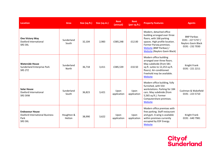| <b>Location</b>                                                                    | Area                 | Size (sq.ft.) | Size (sq.m.) | <b>Rent</b><br>(annual) | <b>Rent</b><br>(per sq.ft.) | <b>Property Features</b>                                                                                                                                                                                            | <b>Agents</b>                                                                     |
|------------------------------------------------------------------------------------|----------------------|---------------|--------------|-------------------------|-----------------------------|---------------------------------------------------------------------------------------------------------------------------------------------------------------------------------------------------------------------|-----------------------------------------------------------------------------------|
| <b>One Victory Way</b><br>Doxford International<br>SR3 3XL                         | Sunderland<br>South  | 32,104        | 2,983        | £385,248                | £12.00                      | Modern, detached office<br>building arranged over three<br>floors, with 168 parking<br>spaces. High profile location.<br>Former Parseq premises.<br>Website (BNP Paribas) /<br><b>Website</b> (Naylors Gavin Black) | <b>BNP Paribas</b><br>0191 - 227 5737 /<br>Naylors Gavin Black<br>0191 - 232 7030 |
| <b>Waterside House</b><br>Sunderland Enterprise Park<br><b>SR5 2TZ</b>             | Sunderland<br>North  | 36,718        | 3,411        | £385,539                | £10.50                      | Modern office building<br>arranged over three floors.<br>May subdivide (from 581<br>sq.ft. suites to 12,253 sq.ft.<br>floors). Air-conditioned.<br>Freehold may be available.<br>Website                            | Knight Frank<br>0191 - 221 2211                                                   |
| <b>Solar House</b><br>Doxford International<br>SR3 3XW                             | Sunderland<br>South  | 36,823        | 3,421        | Upon<br>application     | Upon<br>application         | Modern office building, fully<br>furnished, with 554<br>workstations. Parking for 184<br>cars. May subdivide (from<br>5,565 sq.ft.). Former<br>Computershare premises.<br>Website                                   | Cushman & Wakefield<br>0191 - 223 5710                                            |
| <b>Endeavour House</b><br><b>Doxford International Business</b><br>Park<br>SR3 3XL | Houghton &<br>Hetton | 38,990        | 3,622        | Upon<br>application     | Upon<br>application         | Modern office premises with<br>free parking. Staff restaurant<br>and gym. A wing is available<br>within premises currently<br>occupied by EDF Energy.<br>Website                                                    | Knight Frank<br>0191 - 640 7981                                                   |